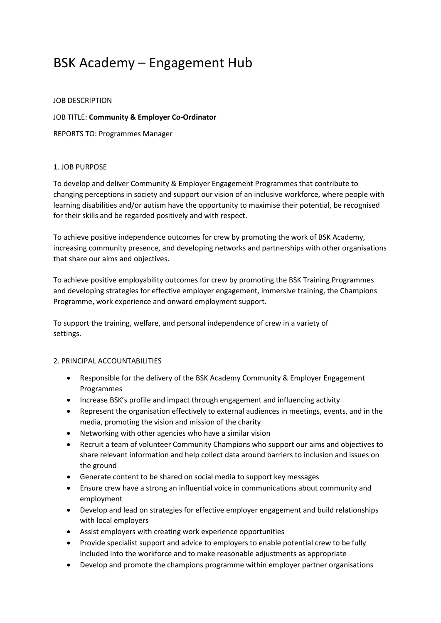# BSK Academy – Engagement Hub

#### JOB DESCRIPTION

### JOB TITLE: **Community & Employer Co-Ordinator**

REPORTS TO: Programmes Manager

### 1. JOB PURPOSE

To develop and deliver Community & Employer Engagement Programmes that contribute to changing perceptions in society and support our vision of an inclusive workforce, where people with learning disabilities and/or autism have the opportunity to maximise their potential, be recognised for their skills and be regarded positively and with respect.

To achieve positive independence outcomes for crew by promoting the work of BSK Academy, increasing community presence, and developing networks and partnerships with other organisations that share our aims and objectives.

To achieve positive employability outcomes for crew by promoting the BSK Training Programmes and developing strategies for effective employer engagement, immersive training, the Champions Programme, work experience and onward employment support.

To support the training, welfare, and personal independence of crew in a variety of settings.

## 2. PRINCIPAL ACCOUNTABILITIES

- Responsible for the delivery of the BSK Academy Community & Employer Engagement Programmes
- Increase BSK's profile and impact through engagement and influencing activity
- Represent the organisation effectively to external audiences in meetings, events, and in the media, promoting the vision and mission of the charity
- Networking with other agencies who have a similar vision
- Recruit a team of volunteer Community Champions who support our aims and objectives to share relevant information and help collect data around barriers to inclusion and issues on the ground
- Generate content to be shared on social media to support key messages
- Ensure crew have a strong an influential voice in communications about community and employment
- Develop and lead on strategies for effective employer engagement and build relationships with local employers
- Assist employers with creating work experience opportunities
- Provide specialist support and advice to employers to enable potential crew to be fully included into the workforce and to make reasonable adjustments as appropriate
- Develop and promote the champions programme within employer partner organisations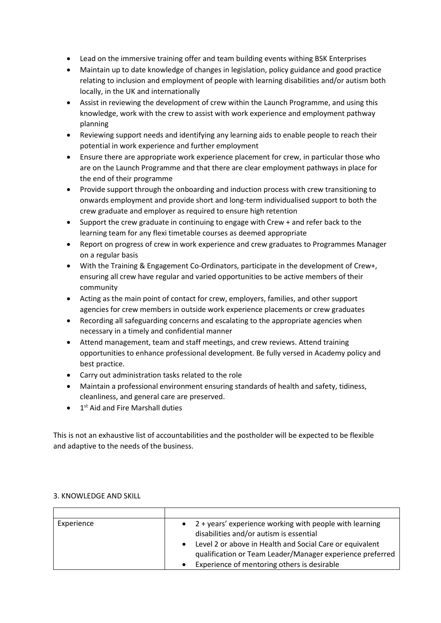- Lead on the immersive training offer and team building events withing BSK Enterprises
- Maintain up to date knowledge of changes in legislation, policy guidance and good practice relating to inclusion and employment of people with learning disabilities and/or autism both locally, in the UK and internationally
- Assist in reviewing the development of crew within the Launch Programme, and using this knowledge, work with the crew to assist with work experience and employment pathway planning
- Reviewing support needs and identifying any learning aids to enable people to reach their potential in work experience and further employment
- Ensure there are appropriate work experience placement for crew, in particular those who are on the Launch Programme and that there are clear employment pathways in place for the end of their programme
- Provide support through the onboarding and induction process with crew transitioning to onwards employment and provide short and long-term individualised support to both the crew graduate and employer as required to ensure high retention
- Support the crew graduate in continuing to engage with Crew + and refer back to the learning team for any flexi timetable courses as deemed appropriate
- Report on progress of crew in work experience and crew graduates to Programmes Manager on a regular basis
- With the Training & Engagement Co-Ordinators, participate in the development of Crew+, ensuring all crew have regular and varied opportunities to be active members of their community
- Acting as the main point of contact for crew, employers, families, and other support agencies for crew members in outside work experience placements or crew graduates
- Recording all safeguarding concerns and escalating to the appropriate agencies when necessary in a timely and confidential manner
- Attend management, team and staff meetings, and crew reviews. Attend training opportunities to enhance professional development. Be fully versed in Academy policy and best practice.
- Carry out administration tasks related to the role
- Maintain a professional environment ensuring standards of health and safety, tidiness, cleanliness, and general care are preserved.
- $\bullet$  1<sup>st</sup> Aid and Fire Marshall duties

This is not an exhaustive list of accountabilities and the postholder will be expected to be flexible and adaptive to the needs of the business.

| Experience | 2 + years' experience working with people with learning<br>$\bullet$<br>disabilities and/or autism is essential<br>Level 2 or above in Health and Social Care or equivalent<br>qualification or Team Leader/Manager experience preferred<br>Experience of mentoring others is desirable |
|------------|-----------------------------------------------------------------------------------------------------------------------------------------------------------------------------------------------------------------------------------------------------------------------------------------|

## 3. KNOWLEDGE AND SKILL